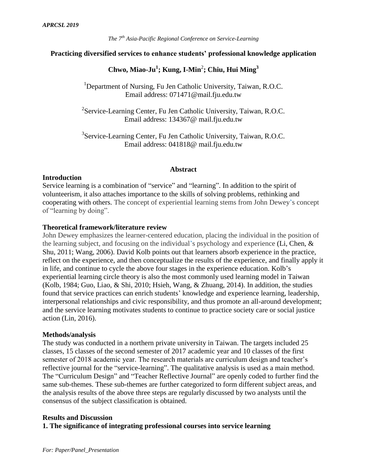### **Practicing diversified services to enhance students' professional knowledge application**

# **Chwo, Miao-Ju<sup>1</sup> ; Kung, I-Min**<sup>2</sup> **; Chiu, Hui Ming 3**

<sup>1</sup>Department of Nursing, Fu Jen Catholic University, Taiwan, R.O.C. Email address: 071471@mail.fju.edu.tw

<sup>2</sup>Service-Learning Center, Fu Jen Catholic University, Taiwan, R.O.C. Email address: 134367@ mail.fju.edu.tw

<sup>3</sup>Service-Learning Center, Fu Jen Catholic University, Taiwan, R.O.C. Email address: 041818@ mail.fju.edu.tw

#### **Abstract**

#### **Introduction**

Service learning is a combination of "service" and "learning". In addition to the spirit of volunteerism, it also attaches importance to the skills of solving problems, rethinking and cooperating with others. The concept of experiential learning stems from John Dewey's concept of "learning by doing".

#### **Theoretical framework/literature review**

John Dewey emphasizes the learner-centered education, placing the individual in the position of the learning subject, and focusing on the individual's psychology and experience (Li, Chen, & Shu, 2011; Wang, 2006). David Kolb points out that learners absorb experience in the practice, reflect on the experience, and then conceptualize the results of the experience, and finally apply it in life, and continue to cycle the above four stages in the experience education. Kolb's experiential learning circle theory is also the most commonly used learning model in Taiwan (Kolb, 1984; Guo, Liao, & Shi, 2010; Hsieh, Wang, & Zhuang, 2014). In addition, the studies found that service practices can enrich students' knowledge and experience learning, leadership, interpersonal relationships and civic responsibility, and thus promote an all-around development; and the service learning motivates students to continue to practice society care or social justice action (Lin, 2016).

#### **Methods/analysis**

The study was conducted in a northern private university in Taiwan. The targets included 25 classes, 15 classes of the second semester of 2017 academic year and 10 classes of the first semester of 2018 academic year. The research materials are curriculum design and teacher's reflective journal for the "service-learning". The qualitative analysis is used as a main method. The "Curriculum Design" and "Teacher Reflective Journal" are openly coded to further find the same sub-themes. These sub-themes are further categorized to form different subject areas, and the analysis results of the above three steps are regularly discussed by two analysts until the consensus of the subject classification is obtained.

#### **Results and Discussion**

**1. The significance of integrating professional courses into service learning**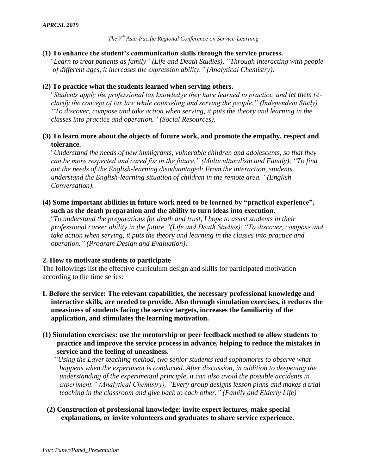## (**1) To enhance the student's communication skills through the service process.**

*"Learn to treat patients as family" (Life and Death Studies), "Through interacting with people of different ages, it increases the expression ability." (Analytical Chemistry)*.

## **(2) To practice what the students learned when serving others.**

*"Students apply the professional tax knowledge they have learned to practice, and let them reclarify the concept of tax law while counseling and serving the people." (Independent Study), "To discover, compose and take action when serving, it puts the theory and learning in the classes into practice and operation." (Social Resources)*.

## **(3) To learn more about the objects of future work, and promote the empathy, respect and tolerance.**

*"Understand the needs of new immigrants, vulnerable children and adolescents, so that they can be more respected and cared for in the future." (Multiculturalism and Family), "To find out the needs of the English-learning disadvantaged: From the interaction, students understand the English-learning situation of children in the remote area." (English Conversation)*.

## **(4) Some important abilities in future work need to be learned by "practical experience", such as the death preparation and the ability to turn ideas into execution.**

*"To understand the preparations for death and trust, I hope to assist students in their professional career ability in the future."(Life and Death Studies), "To discover, compose and take action when serving, it puts the theory and learning in the classes into practice and operation." (Program Design and Evaluation)*.

## **2. How to motivate students to participate**

The followings list the effective curriculum design and skills for participated motivation according to the time series:

**I. Before the service: The relevant capabilities, the necessary professional knowledge and interactive skills, are needed to provide. Also through simulation exercises, it reduces the uneasiness of students facing the service targets, increases the familiarity of the application, and stimulates the learning motivation.**

## **(1) Simulation exercises: use the mentorship or peer feedback method to allow students to practice and improve the service process in advance, helping to reduce the mistakes in service and the feeling of uneasiness.**

*"Using the Layer teaching method, two senior students lead sophomores to observe what happens when the experiment is conducted. After discussion, in addition to deepening the understanding of the experimental principle, it can also avoid the possible accidents in experiment." (Analytical Chemistry), "Every group designs lesson plans and makes a trial teaching in the classroom and give back to each other." (Family and Elderly Life)*

## **(2) Construction of professional knowledge: invite expert lectures, make special explanations, or invite volunteers and graduates to share service experience.**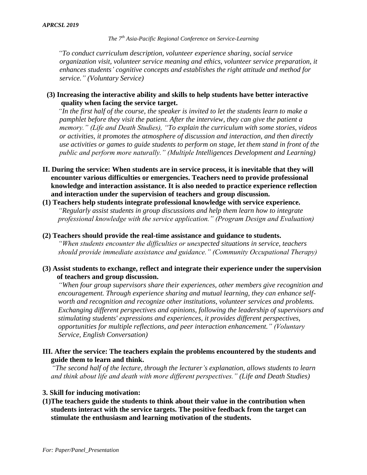*"To conduct curriculum description, volunteer experience sharing, social service organization visit, volunteer service meaning and ethics, volunteer service preparation, it enhances students' cognitive concepts and establishes the right attitude and method for service." (Voluntary Service)*

#### **(3) Increasing the interactive ability and skills to help students have better interactive quality when facing the service target.**

*"In the first half of the course, the speaker is invited to let the students learn to make a pamphlet before they visit the patient. After the interview, they can give the patient a memory." (Life and Death Studies), "To explain the curriculum with some stories, videos or activities, it promotes the atmosphere of discussion and interaction, and then directly use activities or games to guide students to perform on stage, let them stand in front of the public and perform more naturally." (Multiple Intelligences Development and Learning)*

- **II. During the service: When students are in service process, it is inevitable that they will encounter various difficulties or emergencies. Teachers need to provide professional knowledge and interaction assistance. It is also needed to practice experience reflection and interaction under the supervision of teachers and group discussion.**
- **(1) Teachers help students integrate professional knowledge with service experience.** *"Regularly assist students in group discussions and help them learn how to integrate professional knowledge with the service application." (Program Design and Evaluation)*

#### **(2) Teachers should provide the real-time assistance and guidance to students.**

*"When students encounter the difficulties or unexpected situations in service, teachers should provide immediate assistance and guidance." (Community Occupational Therapy)*

## **(3) Assist students to exchange, reflect and integrate their experience under the supervision of teachers and group discussion.**

*"When four group supervisors share their experiences, other members give recognition and encouragement. Through experience sharing and mutual learning, they can enhance selfworth and recognition and recognize other institutions, volunteer services and problems. Exchanging different perspectives and opinions, following the leadership of supervisors and stimulating students' expressions and experiences, it provides different perspectives, opportunities for multiple reflections, and peer interaction enhancement." (Voluntary Service, English Conversation)*

## **III. After the service: The teachers explain the problems encountered by the students and guide them to learn and think.**

*"The second half of the lecture, through the lecturer's explanation, allows students to learn and think about life and death with more different perspectives." (Life and Death Studies)*

#### **3. Skill for inducing motivation:**

**(1)The teachers guide the students to think about their value in the contribution when students interact with the service targets. The positive feedback from the target can stimulate the enthusiasm and learning motivation of the students.**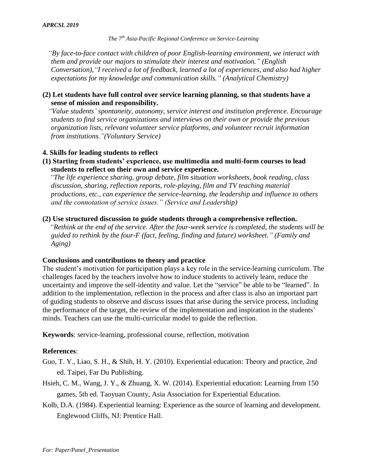*"By face-to-face contact with children of poor English-learning environment, we interact with them and provide our majors to stimulate their interest and motivation." (English Conversation),"I received a lot of feedback, learned a lot of experiences, and also had higher expectations for my knowledge and communication skills." (Analytical Chemistry)*

## **(2) Let students have full control over service learning planning, so that students have a sense of mission and responsibility.**

*"Value students' spontaneity, autonomy, service interest and institution preference. Encourage students to find service organizations and interviews on their own or provide the previous organization lists, relevant volunteer service platforms, and volunteer recruit information from institutions."(Voluntary Service)*

#### **4. Skills for leading students to reflect**

**(1) Starting from students' experience, use multimedia and multi-form courses to lead students to reflect on their own and service experience.** 

*"The life experience sharing, group debate, film situation worksheets, book reading, class discussion, sharing, reflection reports, role-playing, film and TV teaching material productions, etc., can experience the service-learning, the leadership and influence to others and the connotation of service issues." (Service and Leadership)*

#### **(2) Use structured discussion to guide students through a comprehensive reflection.**

*"Rethink at the end of the service. After the four-week service is completed, the students will be guided to rethink by the four-F (fact, feeling, finding and future) worksheet." (Family and Aging)*

#### **Conclusions and contributions to theory and practice**

The student's motivation for participation plays a key role in the service-learning curriculum. The challenges faced by the teachers involve how to induce students to actively learn, reduce the uncertainty and improve the self-identity and value. Let the "service" be able to be "learned". In addition to the implementation, reflection in the process and after class is also an important part of guiding students to observe and discuss issues that arise during the service process, including the performance of the target, the review of the implementation and inspiration in the students' minds. Teachers can use the multi-curricular model to guide the reflection.

**Keywords**: service-learning, professional course, reflection, motivation

#### **References**:

- Guo, T. Y., Liao, S. H., & Shih, H. Y. (2010). Experiential education: Theory and practice, 2nd ed. Taipei, Far Du Publishing.
- Hsieh, C. M., Wang, J. Y., & Zhuang, X. W. (2014). Experiential education: Learning from 150 games, 5th ed. Taoyuan County, Asia Association for Experiential Education.
- Kolb, D.A. (1984). Experiential learning: Experience as the source of learning and development. Englewood Cliffs, NJ: Prentice Hall.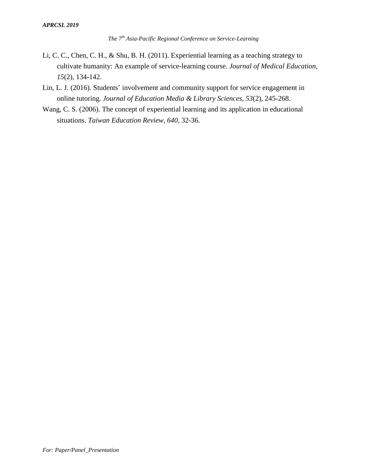- Li, C. C., Chen, C. H., & Shu, B. H. (2011). Experiential learning as a teaching strategy to cultivate humanity: An example of service-learning course. *Journal of Medical Education, 15*(2), 134-142.
- Lin, L. J. (2016). Students' involvement and community support for service engagement in online tutoring. *Journal of Education Media & Library Sciences, 53*(2), 245-268.
- Wang, C. S. (2006). The concept of experiential learning and its application in educational situations. *Taiwan Education Review, 640*, 32-36.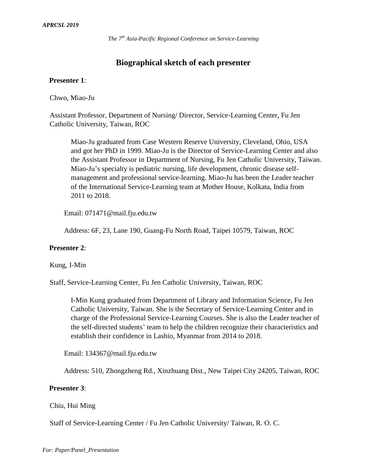# **Biographical sketch of each presenter**

#### **Presenter 1**:

Chwo, Miao-Ju

Assistant Professor, Department of Nursing/ Director, Service-Learning Center, Fu Jen Catholic University, Taiwan, ROC

Miao-Ju graduated from Case Western Reserve University, Cleveland, Ohio, USA and got her PhD in 1999. Miao-Ju is the Director of Service-Learning Center and also the Assistant Professor in Department of Nursing, Fu Jen Catholic University, Taiwan. Miao-Ju's specialty is pediatric nursing, life development, chronic disease selfmanagement and professional service-learning. Miao-Ju has been the Leader teacher of the International Service-Learning team at Mother House, Kolkata, India from 2011 to 2018.

Email: 071471@mail.fju.edu.tw

Address: 6F, 23, Lane 190, Guang-Fu North Road, Taipei 10579, Taiwan, ROC

#### **Presenter 2**:

Kung, I-Min

Staff, Service-Learning Center, Fu Jen Catholic University, Taiwan, ROC

I-Min Kung graduated from Department of Library and Information Science, Fu Jen Catholic University, Taiwan. She is the Secretary of Service-Learning Center and in charge of the Professional Service-Learning Courses. She is also the Leader teacher of the self-directed students' team to help the children recognize their characteristics and establish their confidence in Lashio, Myanmar from 2014 to 2018.

Email: 134367@mail.fju.edu.tw

Address: 510, Zhongzheng Rd., Xinzhuang Dist., New Taipei City 24205, Taiwan, ROC

#### **Presenter 3**:

#### Chiu, Hui Ming

Staff of Service-Learning Center / Fu Jen Catholic University/ Taiwan, R. O. C.